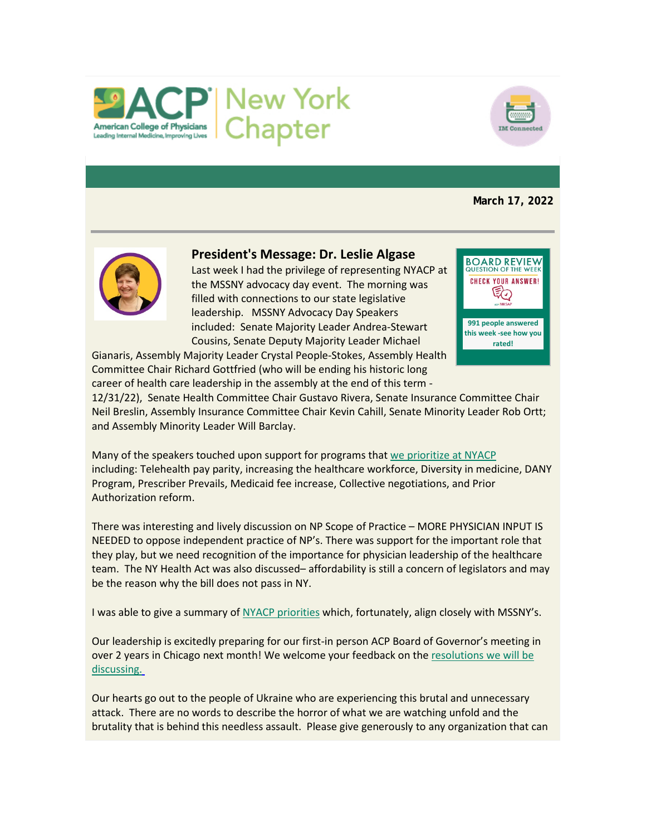



**March 17, 2022**



# **President's Message: Dr. Leslie Algase**

Last week I had the privilege of representing NYACP at the MSSNY advocacy day event. The morning was filled with connections to our state legislative leadership. MSSNY Advocacy Day Speakers included: Senate Majority Leader Andrea-Stewart Cousins, Senate Deputy Majority Leader Michael



Gianaris, Assembly Majority Leader Crystal People-Stokes, Assembly Health Committee Chair Richard Gottfried (who will be ending his historic long career of health care leadership in the assembly at the end of this term -

12/31/22), Senate Health Committee Chair Gustavo Rivera, Senate Insurance Committee Chair Neil Breslin, Assembly Insurance Committee Chair Kevin Cahill, Senate Minority Leader Rob Ortt; and Assembly Minority Leader Will Barclay.

Many of the speakers touched upon support for programs that [we prioritize at NYACP](https://www.votervoice.net/BroadcastLinks/dq4AjKVlNTqfllFebqLEbQ) including: Telehealth pay parity, increasing the healthcare workforce, Diversity in medicine, DANY Program, Prescriber Prevails, Medicaid fee increase, Collective negotiations, and Prior Authorization reform.

There was interesting and lively discussion on NP Scope of Practice – MORE PHYSICIAN INPUT IS NEEDED to oppose independent practice of NP's. There was support for the important role that they play, but we need recognition of the importance for physician leadership of the healthcare team. The NY Health Act was also discussed– affordability is still a concern of legislators and may be the reason why the bill does not pass in NY.

I was able to give a summary of [NYACP priorities](https://www.votervoice.net/BroadcastLinks/dq4AjKVlNTqfllFebqLEbQ) which, fortunately, align closely with MSSNY's.

Our leadership is excitedly preparing for our first-in person ACP Board of Governor's meeting in over 2 years in Chicago next month! We welcome your feedback on the [resolutions we will be](https://www.votervoice.net/BroadcastLinks/uXyiXWd5nRYWG7P0cTfHqA)  [discussing.](https://www.votervoice.net/BroadcastLinks/uXyiXWd5nRYWG7P0cTfHqA)

Our hearts go out to the people of Ukraine who are experiencing this brutal and unnecessary attack. There are no words to describe the horror of what we are watching unfold and the brutality that is behind this needless assault. Please give generously to any organization that can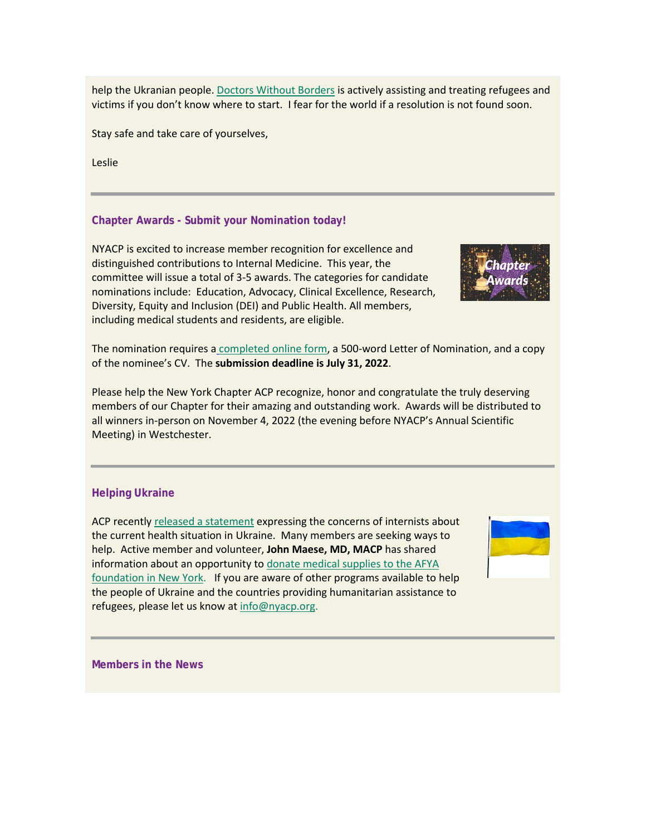help the Ukranian people. [Doctors Without Borders](https://www.votervoice.net/BroadcastLinks/PNYBFU1Xk3to_6IMmPfhpw) is actively assisting and treating refugees and victims if you don't know where to start. I fear for the world if a resolution is not found soon.

Stay safe and take care of yourselves,

Leslie

# **Chapter Awards - Submit your Nomination today!**

NYACP is excited to increase member recognition for excellence and distinguished contributions to Internal Medicine. This year, the committee will issue a total of 3-5 awards. The categories for candidate nominations include: Education, Advocacy, Clinical Excellence, Research, Diversity, Equity and Inclusion (DEI) and Public Health. All members, including medical students and residents, are eligible.



The nomination requires a [completed online form,](https://www.votervoice.net/BroadcastLinks/N68c4iTgDirzIbDuCDuRsw) a 500-word Letter of Nomination, and a copy of the nominee's CV. The **submission deadline is July 31, 2022**.

Please help the New York Chapter ACP recognize, honor and congratulate the truly deserving members of our Chapter for their amazing and outstanding work. Awards will be distributed to all winners in-person on November 4, 2022 (the evening before NYACP's Annual Scientific Meeting) in Westchester.

## **Helping Ukraine**

ACP recently [released a statement](https://www.votervoice.net/BroadcastLinks/wnNg7JyiiNICT1UQlWYULg) expressing the concerns of internists about the current health situation in Ukraine. Many members are seeking ways to help. Active member and volunteer, **John Maese, MD, MACP** has shared information about an opportunity to [donate medical supplies to the AFYA](https://www.votervoice.net/BroadcastLinks/IKiNyWfpiXhT4QES8t1P0g)  [foundation in New York.](https://www.votervoice.net/BroadcastLinks/IKiNyWfpiXhT4QES8t1P0g) If you are aware of other programs available to help the people of Ukraine and the countries providing humanitarian assistance to refugees, please let us know at [info@nyacp.org.](mailto:info@nyacp.org)



**Members in the News**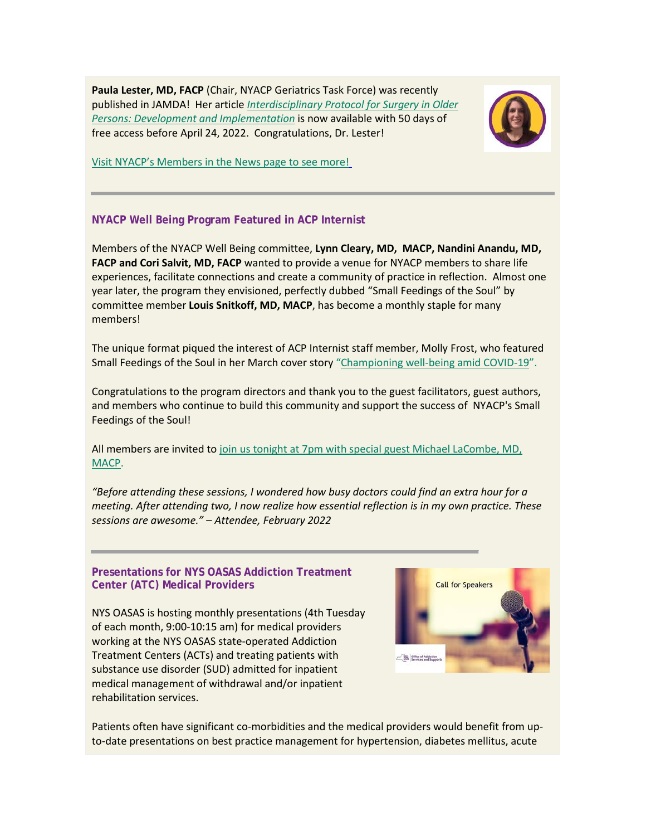**Paula Lester, MD, FACP** (Chair, NYACP Geriatrics Task Force) was recently published in JAMDA! Her article *[Interdisciplinary Protocol for Surgery in Older](https://www.votervoice.net/BroadcastLinks/7d4afOdZb8vtV9SuboZhrw)  [Persons: Development and Implementation](https://www.votervoice.net/BroadcastLinks/7d4afOdZb8vtV9SuboZhrw)* is now available with 50 days of free access before April 24, 2022. Congratulations, Dr. Lester!



[Visit NYACP's Members in the News page to see more!](https://www.votervoice.net/BroadcastLinks/mMCIXtkjElxx6wrTwyOqLg)

## **NYACP Well Being Program Featured in ACP Internist**

Members of the NYACP Well Being committee, **Lynn Cleary, MD, MACP, Nandini Anandu, MD, FACP and Cori Salvit, MD, FACP** wanted to provide a venue for NYACP members to share life experiences, facilitate connections and create a community of practice in reflection. Almost one year later, the program they envisioned, perfectly dubbed "Small Feedings of the Soul" by committee member **Louis Snitkoff, MD, MACP**, has become a monthly staple for many members!

The unique format piqued the interest of ACP Internist staff member, Molly Frost, who featured Small Feedings of the Soul in her March cover story ["Championing well-being amid COVID-19"](https://www.votervoice.net/BroadcastLinks/G6z1OGfueTDS9XLe9xjVtA).

Congratulations to the program directors and thank you to the guest facilitators, guest authors, and members who continue to build this community and support the success of NYACP's Small Feedings of the Soul!

All members are invited to [join us tonight at 7pm with special guest Michael](https://www.votervoice.net/BroadcastLinks/YWcSGZw_-qUgfIQkq7y9OA) LaCombe, MD, [MACP.](https://www.votervoice.net/BroadcastLinks/YWcSGZw_-qUgfIQkq7y9OA)

*"Before attending these sessions, I wondered how busy doctors could find an extra hour for a meeting. After attending two, I now realize how essential reflection is in my own practice. These sessions are awesome." – Attendee, February 2022*

#### **Presentations for NYS OASAS Addiction Treatment Center (ATC) Medical Providers**

NYS OASAS is hosting monthly presentations (4th Tuesday of each month, 9:00-10:15 am) for medical providers working at the NYS OASAS state-operated Addiction Treatment Centers (ACTs) and treating patients with substance use disorder (SUD) admitted for inpatient medical management of withdrawal and/or inpatient rehabilitation services.



Patients often have significant co-morbidities and the medical providers would benefit from upto-date presentations on best practice management for hypertension, diabetes mellitus, acute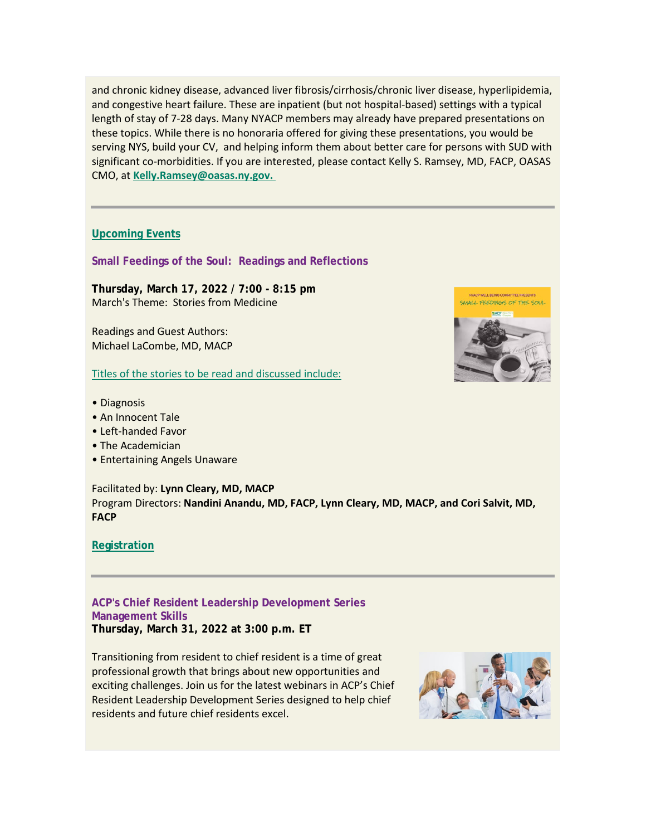and chronic kidney disease, advanced liver fibrosis/cirrhosis/chronic liver disease, hyperlipidemia, and congestive heart failure. These are inpatient (but not hospital-based) settings with a typical length of stay of 7-28 days. Many NYACP members may already have prepared presentations on these topics. While there is no honoraria offered for giving these presentations, you would be serving NYS, build your CV, and helping inform them about better care for persons with SUD with significant co-morbidities. If you are interested, please contact Kelly S. Ramsey, MD, FACP, OASAS CMO, at **[Kelly.Ramsey@oasas.ny.gov.](https://Kelly.Ramsey@oasas.ny.gov.)**

#### **[Upcoming Events](https://www.votervoice.net/BroadcastLinks/7IY15ZwAe3cKNfVUceQlOg)**

**Small Feedings of the Soul: Readings and Reflections**

**Thursday, March 17, 2022 / 7:00 - 8:15 pm** March's Theme: Stories from Medicine

Readings and Guest Authors: Michael LaCombe, MD, MACP

[Titles of the stories to be read and discussed include:](https://www.votervoice.net/BroadcastLinks/-vXluwYLyiNaw-QEpEbAsg)

- Diagnosis
- An Innocent Tale
- Left-handed Favor
- The Academician
- Entertaining Angels Unaware

Facilitated by: **Lynn Cleary, MD, MACP** Program Directors: **Nandini Anandu, MD, FACP, Lynn Cleary, MD, MACP, and Cori Salvit, MD, FACP**

#### **[Registration](https://www.votervoice.net/BroadcastLinks/YWcSGZw_-qUgfIQkq7y9OA)**

**ACP's Chief Resident Leadership Development Series Management Skills Thursday, March 31, 2022 at 3:00 p.m. ET**

Transitioning from resident to chief resident is a time of great professional growth that brings about new opportunities and exciting challenges. Join us for the latest webinars in ACP's Chief Resident Leadership Development Series designed to help chief residents and future chief residents excel.



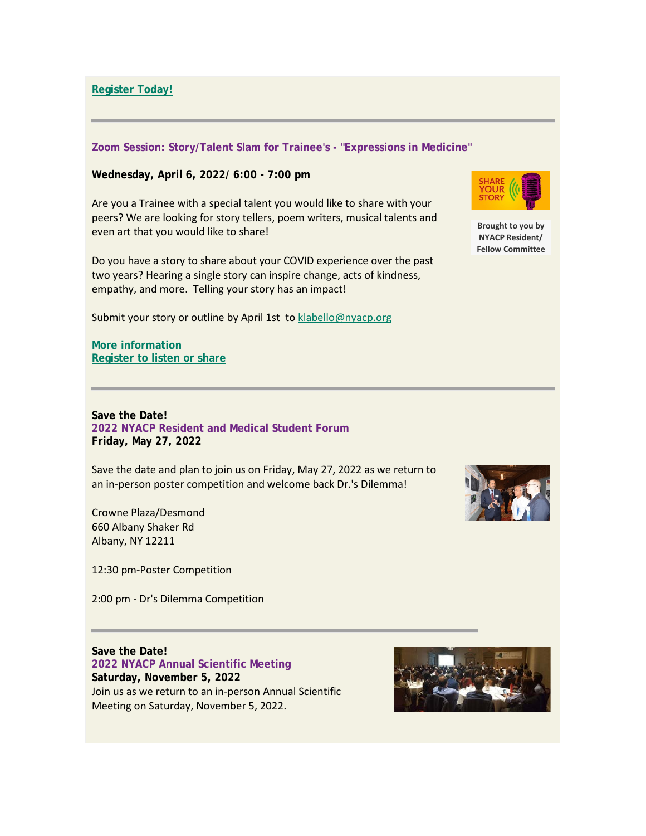**[Register Today!](https://www.votervoice.net/BroadcastLinks/KYBsl3zNrY7xkQSJQNbtQA)**

#### **Zoom Session: Story/Talent Slam for Trainee's - "Expressions in Medicine"**

**Wednesday, April 6, 2022/ 6:00 - 7:00 pm**

Are you a Trainee with a special talent you would like to share with your peers? We are looking for story tellers, poem writers, musical talents and even art that you would like to share!

Do you have a story to share about your COVID experience over the past two years? Hearing a single story can inspire change, acts of kindness, empathy, and more. Telling your story has an impact!

Submit your story or outline by April 1st to **klabello@nyacp.org** 

**[More information](https://www.votervoice.net/BroadcastLinks/Rvm4Qy-s9dyxBlwQJadfVA) [Register to listen or share](https://www.votervoice.net/BroadcastLinks/7GhL1cGlcB8QMpMdKBc47Q)**

**Save the Date! 2022 NYACP Resident and Medical Student Forum Friday, May 27, 2022**

Save the date and plan to join us on Friday, May 27, 2022 as we return to an in-person poster competition and welcome back Dr.'s Dilemma!

Crowne Plaza/Desmond 660 Albany Shaker Rd Albany, NY 12211

12:30 pm-Poster Competition

2:00 pm - Dr's Dilemma Competition

**Save the Date! 2022 NYACP Annual Scientific Meeting Saturday, November 5, 2022** Join us as we return to an in-person Annual Scientific Meeting on Saturday, November 5, 2022.





**Brought to you by NYACP Resident/ Fellow Committee**